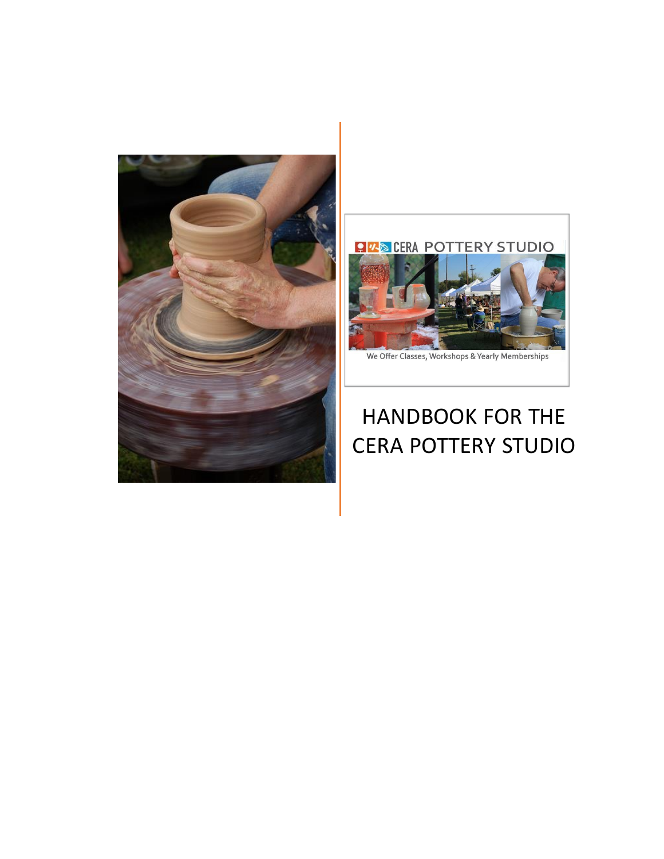



# HANDBOOK FOR THE CERA POTTERY STUDIO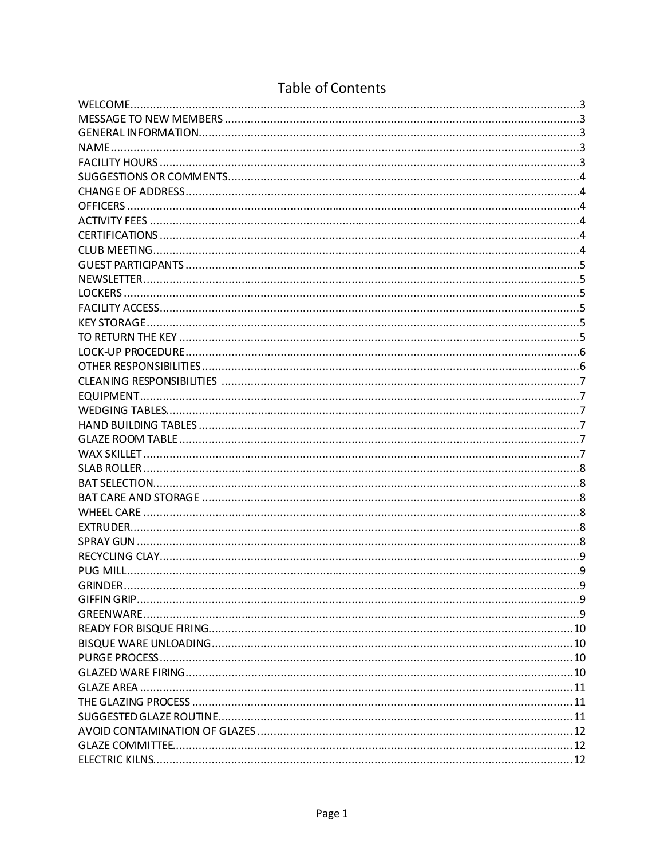# **Table of Contents**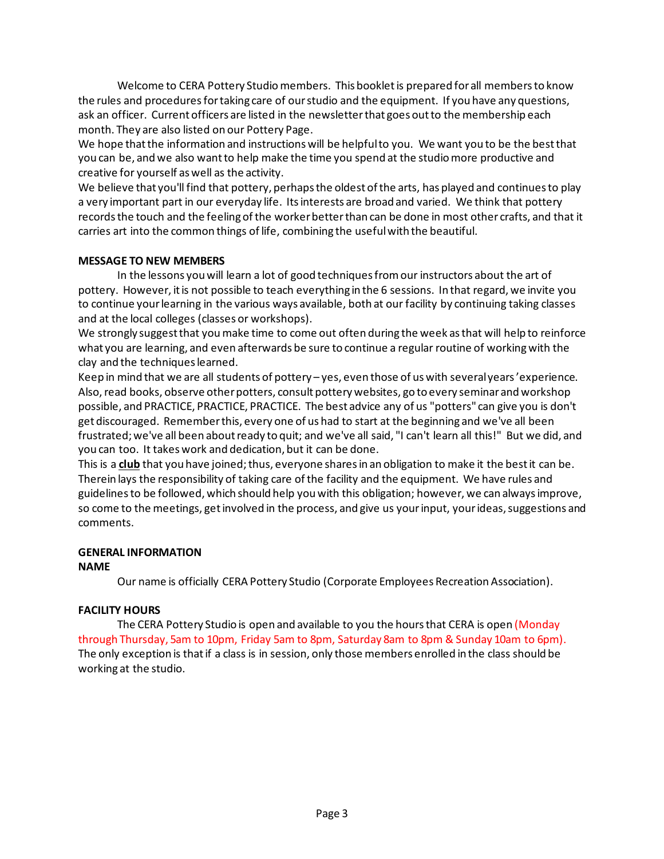Welcome to CERA Pottery Studio members. This booklet is prepared for all members to know the rules and proceduresfortaking care of ourstudio and the equipment. If you have any questions, ask an officer. Current officers are listed in the newsletterthat goes outto the membership each month. They are also listed on our Pottery Page.

We hope that the information and instructions will be helpful to you. We want you to be the best that you can be, and we also wantto help make the time you spend at the studiomore productive and creative for yourself as well as the activity.

We believe that you'll find that pottery, perhaps the oldest of the arts, has played and continues to play a very important part in our everyday life. Itsinterests are broad and varied. We think that pottery records the touch and the feeling of the worker better than can be done in most other crafts, and that it carries art into the common things of life, combining the usefulwith the beautiful.

#### **MESSAGE TO NEW MEMBERS**

In the lessons youwill learn a lot of good techniquesfromour instructors about the art of pottery. However, itis not possible to teach everything in the 6 sessions. In that regard, we invite you to continue your learning in the various ways available, both at our facility by continuing taking classes and at the local colleges (classes or workshops).

We strongly suggest that you make time to come out often during the week as that will help to reinforce what you are learning, and even afterwards be sure to continue a regular routine of workingwith the clay and the techniqueslearned.

Keep in mind that we are all students of pottery – yes, even those of uswith severalyears'experience. Also, read books, observe other potters, consult pottery websites, go to every seminar and workshop possible, and PRACTICE, PRACTICE, PRACTICE. The best advice any of us "potters" can give you is don't get discouraged. Rememberthis, every one of us had to start at the beginning and we've all been frustrated;we've all been aboutready to quit; and we've all said, "I can't learn all this!" But we did, and you can too. It takes work and dedication, but it can be done.

This is a **club** that you have joined; thus, everyone shares in an obligation to make it the best it can be. Therein lays the responsibility of taking care of the facility and the equipment. We have rules and guidelinesto be followed, which should help youwith this obligation; however, we can alwaysimprove, so come to the meetings, get involved in the process, and give us your input, your ideas, suggestions and comments.

#### **GENERAL INFORMATION**

#### **NAME**

Our name is officially CERA Pottery Studio (Corporate Employees Recreation Association).

#### **FACILITY HOURS**

The CERA Pottery Studio is open and available to you the hours that CERA is open (Monday through Thursday, 5am to 10pm, Friday 5am to 8pm, Saturday 8am to 8pm & Sunday 10am to 6pm). The only exception is thatif a class is in session, only those members enrolled in the class should be working at the studio.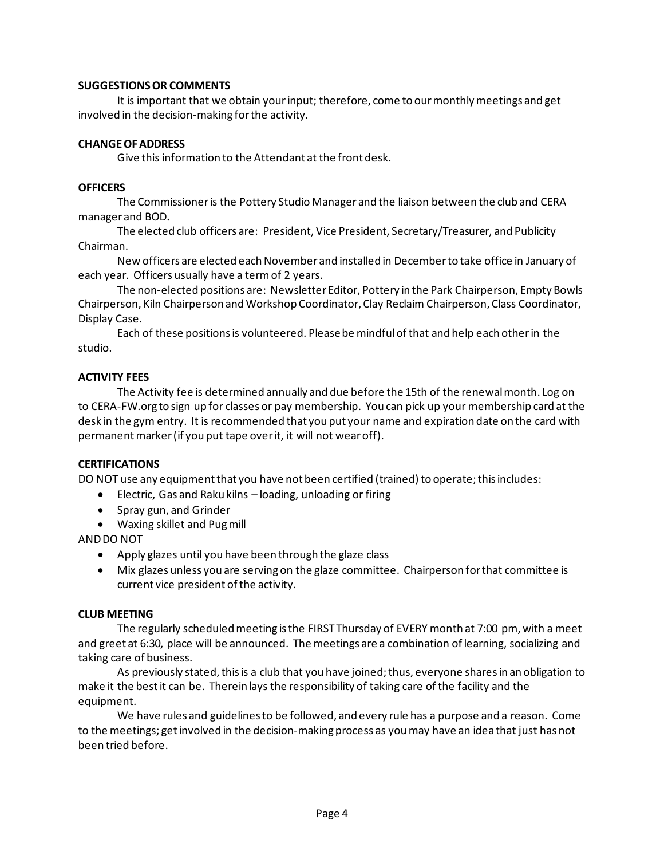#### **SUGGESTIONSOR COMMENTS**

It is important that we obtain your input; therefore, come to our monthly meetings and get involved in the decision-making forthe activity.

#### **CHANGEOFADDRESS**

Give this information to the Attendant at the front desk.

#### **OFFICERS**

The Commissioner is the Pottery Studio Manager and the liaison between the club and CERA manager and BOD**.**

The elected club officers are: President, Vice President, Secretary/Treasurer, and Publicity Chairman.

New officers are elected each November and installed in December to take office in January of each year. Officers usually have a termof 2 years.

The non-elected positions are: Newsletter Editor, Pottery in the Park Chairperson, Empty Bowls Chairperson, Kiln ChairpersonandWorkshop Coordinator, Clay Reclaim Chairperson, Class Coordinator, Display Case.

Each of these positionsis volunteered. Pleasebe mindfulofthat and help each otherin the studio.

#### **ACTIVITY FEES**

The Activity fee is determined annually and due before the 15th of the renewalmonth. Log on to CERA-FW.org to sign up for classes or pay membership. You can pick up your membership card at the desk in the gym entry. It is recommended that you put your name and expiration date on the card with permanent marker (if you put tape over it, it will not wear off).

#### **CERTIFICATIONS**

DO NOT use any equipment that you have not been certified (trained) to operate; this includes:

- Electric, Gas and Raku kilns loading, unloading or firing
- Spray gun, and Grinder
- Waxing skillet and Pugmill

ANDDO NOT

- Apply glazes until you have been through the glaze class
- Mix glazes unless you are serving on the glaze committee. Chairperson forthat committee is current vice president of the activity.

#### **CLUB MEETING**

The regularly scheduled meeting is the FIRST Thursday of EVERY month at 7:00 pm, with a meet and greet at 6:30, place will be announced. The meetings are a combination of learning, socializing and taking care of business.

As previously stated, this is a club that you have joined; thus, everyone shares in an obligation to make it the bestit can be. Therein lays the responsibility of taking care ofthe facility and the equipment.

We have rules and guidelinesto be followed, and every rule has a purpose and a reason. Come to the meetings; get involved in the decision-making process as you may have an idea that just has not been tried before.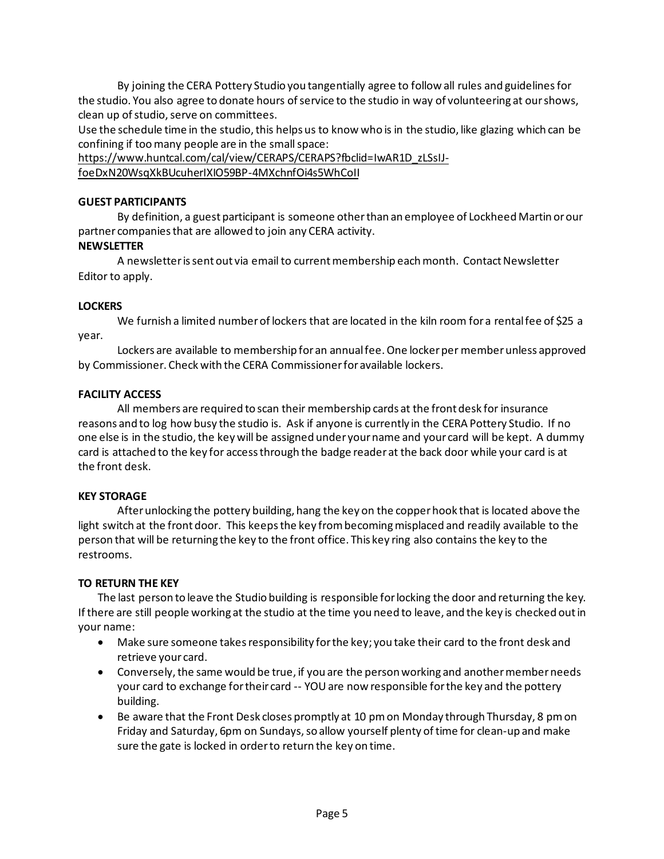By joining the CERA Pottery Studio you tangentially agree to follow all rules and guidelinesfor the studio. You also agree to donate hours of service to the studio in way of volunteering at our shows, clean up of studio, serve on committees.

Use the schedule time in the studio, this helps us to know who is in the studio, like glazing which can be confining if too many people are in the small space:

https://www.huntcal.com/cal/view/CERAPS/CERAPS?fbclid=IwAR1D\_zLSsIJ-

foeDxN20WsqXkBUcuherIXIO59BP-4MXchnfOi4s5WhCoII

#### **GUEST PARTICIPANTS**

By definition, a guest participant is someone otherthan an employee of Lockheed Martin orour partner companiesthat are allowed to join any CERA activity.

## **NEWSLETTER**

A newsletter is sent out via email to current membership each month. Contact Newsletter Editor to apply.

#### **LOCKERS**

We furnish a limited numberof lockers that are located in the kiln room for a rentalfee of \$25 a year.

Lockers are available to membership for an annual fee. One locker per member unless approved by Commissioner. Check with the CERA Commissionerforavailable lockers.

#### **FACILITY ACCESS**

All members are required to scan their membership cards at the frontdesk for insurance reasons and to log how busy the studio is. Ask if anyone is currently in the CERA Pottery Studio. If no one else is in the studio, the key will be assigned under your name and your card will be kept. A dummy card is attached to the key for accessthrough the badge reader at the back door while your card is at the front desk.

#### **KEY STORAGE**

Afterunlocking the pottery building, hang the key on the copperhook that is located above the light switch at the front door. This keepsthe key frombecomingmisplaced and readily available to the person that will be returning the key to the front office. This key ring also contains the key to the restrooms.

#### **TO RETURN THE KEY**

The last person to leave the Studio building is responsible forlocking the door and returning the key. Ifthere are still people working at the studio at the time you need to leave, and the key is checked outin your name:

- Make sure someone takes responsibility for the key; you take their card to the front desk and retrieve your card.
- Conversely, the same would be true, if you are the person working and another member needs your card to exchange for their card -- YOU are now responsible for the key and the pottery building.
- Be aware that the Front Desk closes promptly at 10 pmon Monday through Thursday, 8 pmon Friday and Saturday, 6pm on Sundays, so allow yourself plenty of time for clean-up and make sure the gate is locked in orderto return the key on time.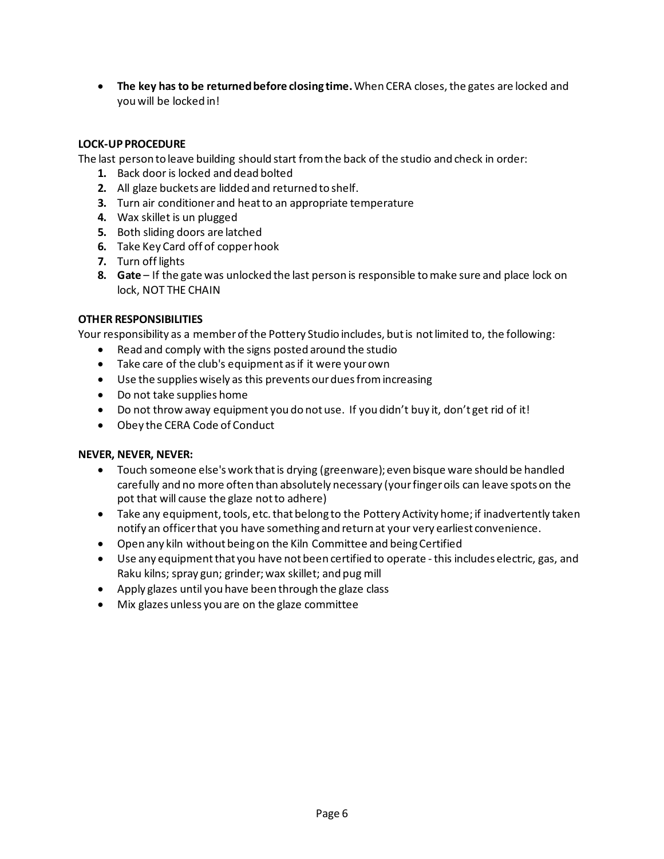**• The key has to be returned before closing time. When CERA closes, the gates are locked and** youwill be locked in!

## **LOCK-UP PROCEDURE**

The last person to leave building should start fromthe back of the studio and check in order:

- **1.** Back door is locked and dead bolted
- **2.** All glaze buckets are lidded and returned to shelf.
- **3.** Turn air conditioner and heatto an appropriate temperature
- **4.** Wax skillet is un plugged
- **5.** Both sliding doors are latched
- **6.** Take Key Card off of copperhook
- **7.** Turn off lights
- **8. Gate** If the gate was unlocked the last person is responsible tomake sure and place lock on lock, NOT THE CHAIN

#### **OTHER RESPONSIBILITIES**

Your responsibility as a memberofthe Pottery Studio includes, butis notlimited to, the following:

- Read and comply with the signs posted around the studio
- Take care of the club's equipment as if it were your own
- Use the supplies wisely as this prevents our dues from increasing
- Do not take supplies home
- Do not throw away equipment you do not use. If you didn't buy it, don't get rid of it!
- Obey the CERA Code of Conduct

#### **NEVER, NEVER, NEVER:**

- Touch someone else's work that is drying (greenware); even bisque ware should be handled carefully and no more often than absolutely necessary (yourfingeroils can leave spots on the pot that will cause the glaze notto adhere)
- Take any equipment, tools, etc. that belong to the Pottery Activity home; if inadvertently taken notify an officerthat you have something and return at your very earliest convenience.
- Open any kiln without being on the Kiln Committee and being Certified
- Use any equipment that you have not been certified to operate this includes electric, gas, and Raku kilns; spray gun; grinder;wax skillet; and pug mill
- Apply glazes until you have been through the glaze class
- Mix glazes unless you are on the glaze committee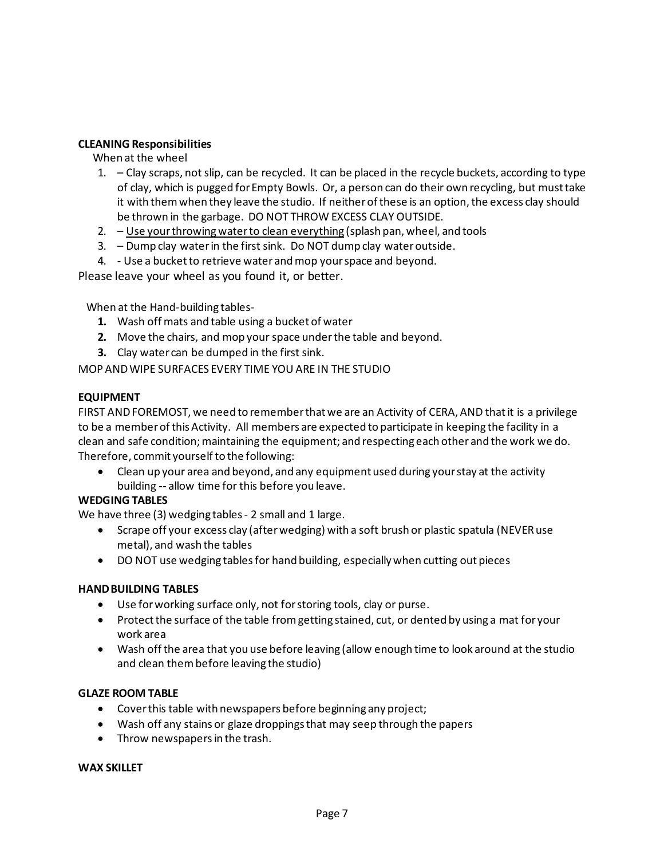#### **CLEANING Responsibilities**

#### When at the wheel

- 1. Clay scraps, not slip, can be recycled. It can be placed in the recycle buckets, according to type of clay, which is pugged forEmpty Bowls. Or, a person can do their own recycling, but musttake it with them when they leave the studio. If neither of these is an option, the excess clay should be thrown in the garbage. DO NOT THROW EXCESS CLAY OUTSIDE.
- 2. Use yourthrowingwaterto clean everything (splash pan, wheel, and tools
- 3. Dump clay waterin the first sink. Do NOT dump clay wateroutside.
- 4. Use a bucketto retrieve water andmop yourspace and beyond.

Please leave your wheel as you found it, or better.

When at the Hand-building tables-

- **1.** Wash off mats and table using a bucketof water
- **2.** Move the chairs, and mop your space under the table and beyond.
- **3.** Clay water can be dumped in the first sink.

MOP ANDWIPE SURFACES EVERY TIME YOUARE IN THE STUDIO

#### **EQUIPMENT**

FIRST ANDFOREMOST, we need to rememberthatwe are an Activity of CERA, AND thatit is a privilege to be a memberofthisActivity. All members are expected to participate in keeping the facility in a clean and safe condition;maintaining the equipment; and respectingeach other and the work we do. Therefore, commit yourself to the following:

• Clean up your area and beyond, and any equipment used during your stay at the activity building -- allow time for this before you leave.

#### **WEDGING TABLES**

We have three (3) wedging tables - 2 small and 1 large.

- Scrape off your excess clay (afterwedging) with a soft brush or plastic spatula (NEVERuse metal), and wash the tables
- DO NOT use wedging tables for hand building, especially when cutting out pieces

#### **HANDBUILDING TABLES**

- Use forworking surface only, not forstoring tools, clay or purse.
- Protect the surface of the table from getting stained, cut, or dented by using a mat for your work area
- Wash offthe area that you use before leaving (allow enough time to look around at the studio and clean thembefore leaving the studio)

#### **GLAZE ROOM TABLE**

- Coverthis table with newspapers before beginning any project;
- Wash off any stains or glaze droppingsthat may seep through the papers
- Throw newspapers in the trash.

#### **WAX SKILLET**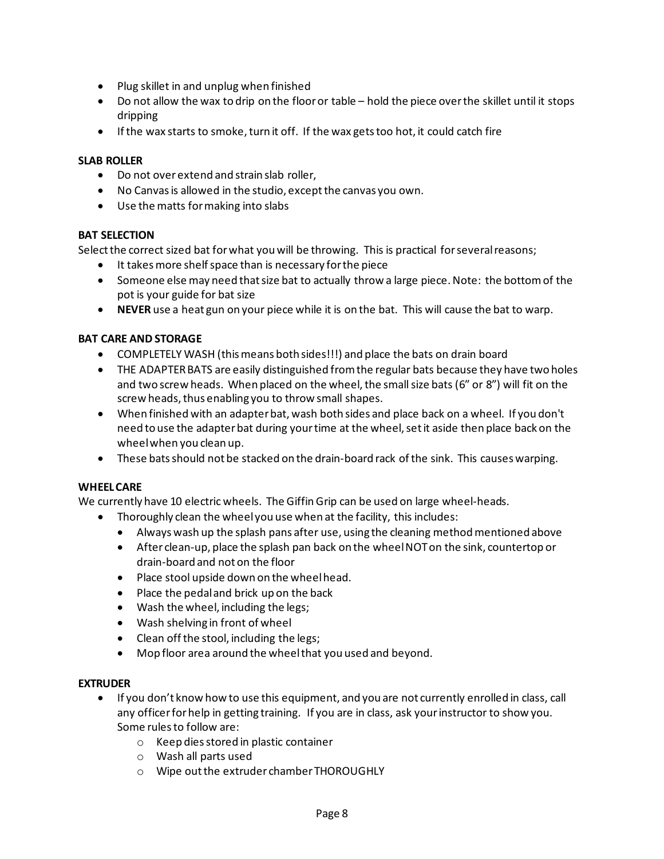- Plug skillet in and unplug when finished
- Do not allow the wax to drip on the flooror table hold the piece overthe skillet until it stops dripping
- If the wax starts to smoke, turn it off. If the wax gets too hot, it could catch fire

#### **SLAB ROLLER**

- Do not overextend and strain slab roller,
- No Canvas is allowed in the studio, except the canvas you own.
- Use the matts formaking into slabs

#### **BAT SELECTION**

Select the correct sized bat for what you will be throwing. This is practical for several reasons;

- It takesmore shelfspace than is necessary forthe piece
- Someone else may need that size bat to actually throw a large piece. Note: the bottom of the pot is your guide for bat size
- **NEVER** use a heat gun on your piece while it is on the bat. This will cause the bat to warp.

#### **BAT CARE AND STORAGE**

- COMPLETELY WASH (this means both sides!!!) and place the bats on drain board
- THE ADAPTER BATS are easily distinguished from the regular bats because they have two holes and two screw heads. When placed on the wheel, the small size bats (6" or 8") will fit on the screw heads, thus enabling you to throw small shapes.
- When finished with an adapterbat, wash both sides and place back on a wheel. If you don't need to use the adapter bat during your time at the wheel, set it aside then place back on the wheelwhen you clean up.
- These batsshould not be stacked on the drain-board rack ofthe sink. This causes warping.

#### **WHEELCARE**

We currently have 10 electric wheels. The Giffin Grip can be used on large wheel-heads.

- Thoroughly clean the wheelyou use when at the facility, this includes:
	- $\bullet$  Always wash up the splash pans after use, using the cleaning method mentioned above
	- After clean-up, place the splash pan back on the wheelNOTon the sink, countertop or drain-board and not on the floor
	- Place stool upside down on the wheelhead.
	- Place the pedaland brick up on the back
	- Wash the wheel, including the legs;
	- Wash shelving in front of wheel
	- Clean offthe stool, including the legs;
	- Mop floor area around the wheelthat you used and beyond.

#### **EXTRUDER**

- If you don't know how to use this equipment, and you are not currently enrolled in class, call any officerforhelp in getting training. If you are in class, ask yourinstructor to show you. Some rulesto follow are:
	- o Keep diesstored in plastic container
	- o Wash all parts used
	- o Wipe outthe extruder chamberTHOROUGHLY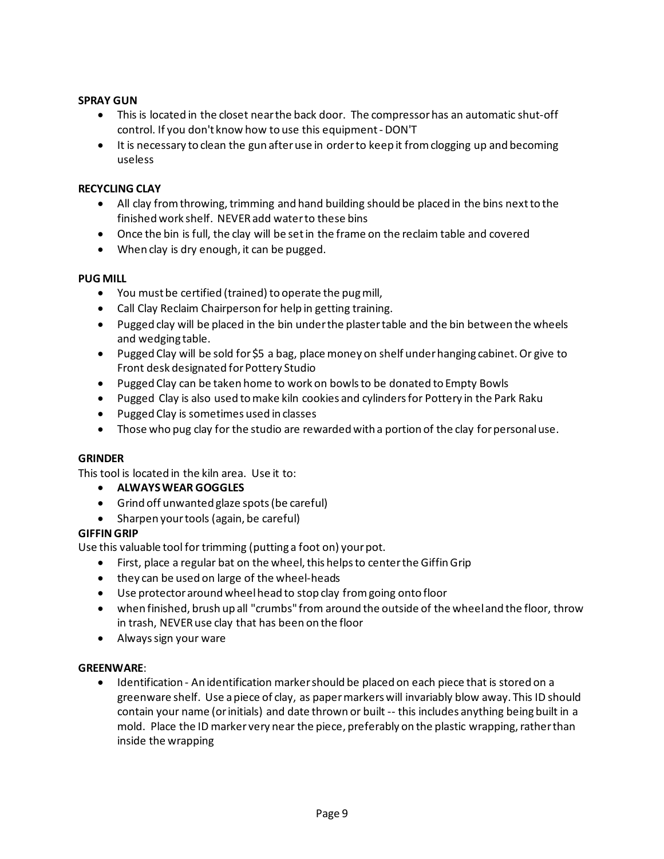#### **SPRAY GUN**

- This is located in the closet nearthe back door. The compressorhas an automatic shut-off control. If you don't know how to use this equipment- DON'T
- It is necessary to clean the gun after use in order to keep it from clogging up and becoming useless

#### **RECYCLING CLAY**

- All clay from throwing, trimming and hand building should be placed in the bins next to the finishedwork shelf. NEVERadd waterto these bins
- Once the bin is full, the clay will be setin the frame on the reclaim table and covered
- When clay is dry enough, it can be pugged.

#### **PUG MILL**

- You mustbe certified (trained) to operate the pugmill,
- Call Clay Reclaim Chairperson for help in getting training.
- Pugged clay will be placed in the bin underthe plastertable and the bin between the wheels and wedging table.
- Pugged Clay will be sold for \$5 a bag, place money on shelf under hanging cabinet. Or give to Front desk designated for Pottery Studio
- Pugged Clay can be taken home to work on bowlsto be donated to Empty Bowls
- Pugged Clay is also used tomake kiln cookies and cylindersfor Pottery in the Park Raku
- Pugged Clay is sometimes used in classes
- Those who pug clay for the studio are rewarded with a portion of the clay for personal use.

#### **GRINDER**

This tool is located in the kiln area. Use it to:

- **ALWAYSWEAR GOGGLES**
- Grind off unwanted glaze spots(be careful)
- Sharpen yourtools (again, be careful)

#### **GIFFINGRIP**

Use this valuable tool for trimming (putting a foot on) yourpot.

- First, place a regular bat on the wheel, this helps to center the Giffin Grip
- they can be used on large of the wheel-heads
- Use protectoraroundwheelhead to stop clay fromgoing onto floor
- when finished, brush up all "crumbs" from around the outside of the wheeland the floor, throw in trash, NEVERuse clay that has been on the floor
- Alwayssign your ware

#### **GREENWARE**:

• Identification - An identification markershould be placed on each piece that is stored on a greenware shelf. Use apiece of clay, as papermarkerswill invariably blow away. This ID should contain your name (orinitials) and date thrown or built -- this includes anything being built in a mold. Place the ID marker very near the piece, preferably on the plastic wrapping, rather than inside the wrapping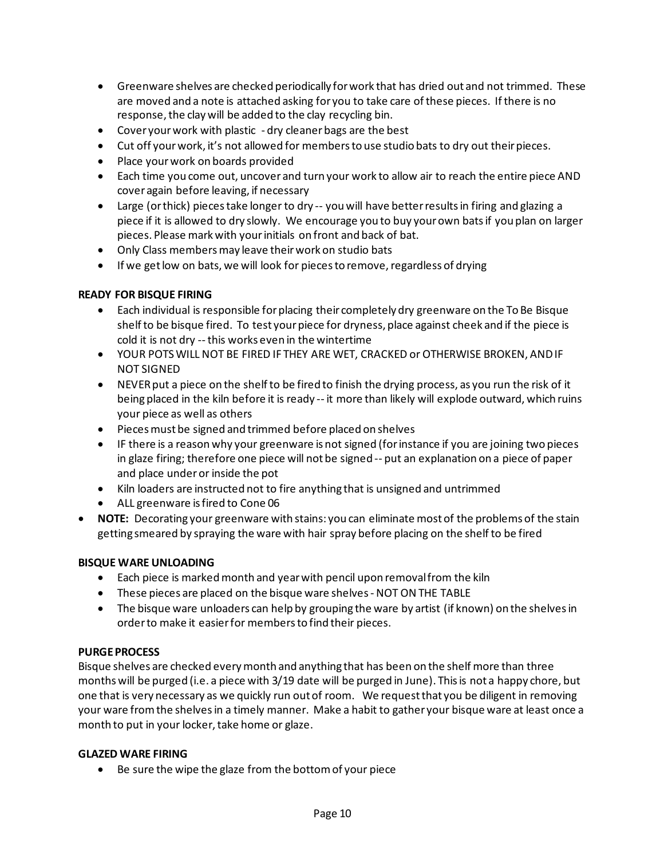- Greenware shelves are checked periodically forwork that has dried out and not trimmed. These are moved and a note is attached asking for you to take care of these pieces. If there is no response, the clay will be added to the clay recycling bin.
- Cover yourwork with plastic dry cleanerbags are the best
- Cut off your work, it's not allowed for members to use studio bats to dry out their pieces.
- Place yourwork on boards provided
- Each time you come out, uncover and turn your work to allow air to reach the entire piece AND coveragain before leaving, if necessary
- Large (or thick) pieces take longer to dry -- you will have better results in firing and glazing a piece if it is allowed to dry slowly. We encourage you to buy yourown batsif you plan on larger pieces. Please markwith yourinitials on front and back of bat.
- Only Class membersmay leave theirwork on studio bats
- If we get low on bats, we will look for pieces to remove, regardless of drying

#### **READY FOR BISQUE FIRING**

- Each individual is responsible for placing their completely dry greenware on the To Be Bisque shelf to be bisque fired. To test your piece for dryness, place against cheek and if the piece is cold it is not dry --this works even in the wintertime
- YOUR POTSWILL NOT BE FIRED IF THEY ARE WET, CRACKED or OTHERWISE BROKEN, ANDIF NOT SIGNED
- NEVER put a piece on the shelf to be fired to finish the drying process, as you run the risk of it beingplaced in the kiln before it is ready -- it more than likely will explode outward, which ruins your piece as well as others
- Piecesmust be signed and trimmed before placed on shelves
- IF there is a reason why your greenware is not signed (forinstance if you are joining two pieces in glaze firing; therefore one piece will not be signed -- put an explanation on a piece of paper and place underor inside the pot
- Kiln loaders are instructed not to fire anything that is unsigned and untrimmed
- ALL greenware isfired to Cone 06
- **NOTE:** Decorating your greenware with stains: you can eliminate most of the problems of the stain getting smeared by spraying the ware with hair spray before placing on the shelf to be fired

#### **BISQUE WARE UNLOADING**

- Each piece is marked month and year with pencil upon removal from the kiln
- These pieces are placed on the bisque ware shelves-NOT ONTHE TABLE
- The bisque ware unloaders can help by grouping the ware by artist (if known) on the shelves in orderto make it easierfor membersto find their pieces.

#### **PURGEPROCESS**

Bisque shelves are checked everymonth and anything that has been on the shelf more than three months will be purged (i.e. a piece with 3/19 date will be purged in June). Thisis not a happy chore, but one that is very necessary as we quickly run outof room. We requestthat you be diligent in removing your ware fromthe shelvesin a timely manner. Make a habit to gather your bisque ware at least once a month to put in your locker, take home or glaze.

#### **GLAZED WARE FIRING**

• Be sure the wipe the glaze from the bottomof your piece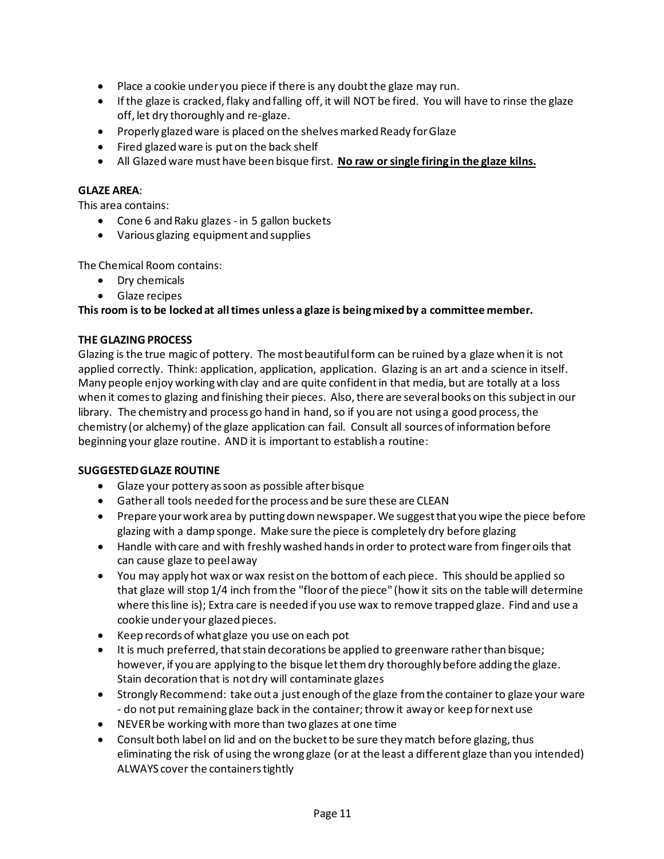- Place a cookie under you piece if there is any doubt the glaze may run.
- If the glaze is cracked, flaky and falling off, it will NOT be fired. You will have to rinse the glaze off, let dry thoroughly and re-glaze.
- Properly glazedware is placed on the shelvesmarked Ready forGlaze
- Fired glazed ware is put on the back shelf
- All Glazed ware must have been bisque first. **No raw orsingle firing in the glaze kilns.**

#### **GLAZE AREA**:

This area contains:

- Cone 6 and Raku glazes in 5 gallon buckets
- Various glazing equipment and supplies

The Chemical Room contains:

- Dry chemicals
- Glaze recipes

#### **This room is to be locked at alltimes unless a glaze is beingmixedby a committee member.**

#### **THE GLAZING PROCESS**

Glazing is the true magic of pottery. The most beautifulform can be ruined by a glaze when it is not applied correctly. Think: application, application, application. Glazing is an art and a science in itself. Many people enjoy workingwith clay and are quite confidentin that media, but are totally at a loss when it comes to glazing and finishing their pieces. Also, there are several books on this subject in our library. The chemistry and process go hand in hand, so if you are not using a good process, the chemistry (or alchemy) of the glaze application can fail. Consult all sources of information before beginning your glaze routine. AND it is important to establish a routine:

#### **SUGGESTEDGLAZE ROUTINE**

- Glaze your pottery as soon as possible after bisque
- Gatherall tools needed forthe process and be sure these are CLEAN
- Prepare yourwork area by puttingdown newspaper.We suggestthat you wipe the piece before glazing with a damp sponge. Make sure the piece is completely dry before glazing
- Handle with care and with freshly washed hands in order to protect ware from finger oils that can cause glaze to peelaway
- You may apply hot wax or wax resist on the bottomof each piece. This should be applied so that glaze will stop 1/4 inch fromthe "floorof the piece" (how it sits on the table will determine where thisline is); Extra care is needed if you use wax to remove trapped glaze. Find and use a cookie under your glazed pieces.
- Keep records of what glaze you use on each pot
- It is much preferred, that stain decorations be applied to greenware rather than bisque; however, if you are applying to the bisque letthemdry thoroughly before adding the glaze. Stain decoration that is notdry will contaminate glazes
- Strongly Recommend: take out a just enough of the glaze from the container to glaze your ware - do not put remaining glaze back in the container; throw it away or keep for next use
- NEVERbe workingwith more than two glazes at one time
- Consult both label on lid and on the bucket to be sure they match before glazing, thus eliminating the risk of using the wrong glaze (or at the least a different glaze than you intended) ALWAYS cover the containerstightly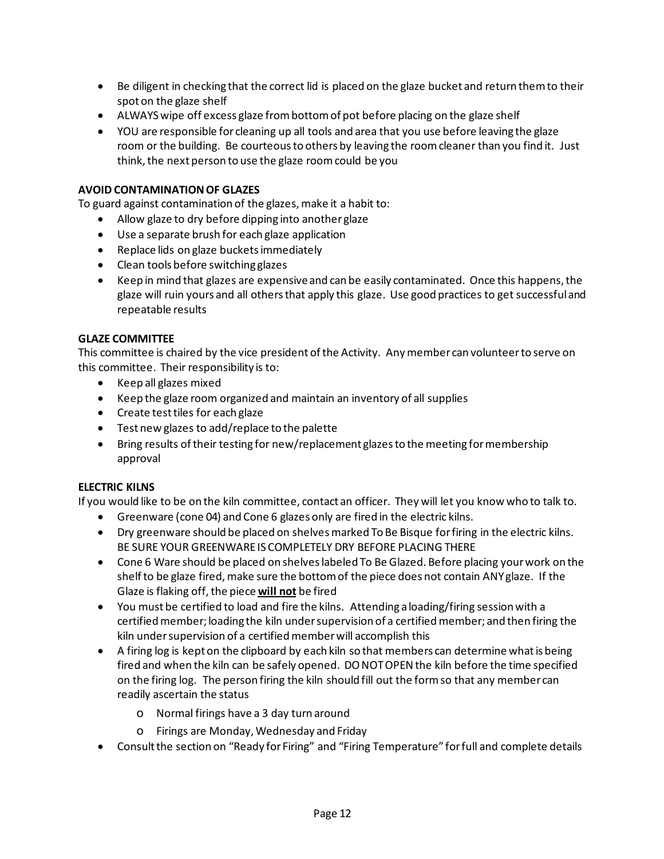- Be diligent in checking that the correct lid is placed on the glaze bucket and return themto their spoton the glaze shelf
- ALWAYSwipe off excess glaze frombottomof pot before placing on the glaze shelf
- YOU are responsible for cleaning up all tools and area that you use before leaving the glaze room or the building. Be courteous to others by leaving the room cleaner than you find it. Just think, the next person to use the glaze room could be you

#### **AVOID CONTAMINATION OF GLAZES**

To guard against contamination of the glazes,make it a habit to:

- Allow glaze to dry before dipping into another glaze
- Use a separate brush for each glaze application
- Replace lids on glaze bucketsimmediately
- Clean tools before switching glazes
- Keep in mind that glazes are expensive and can be easily contaminated. Once this happens, the glaze will ruin yours and all othersthat apply this glaze. Use good practices to get successfuland repeatable results

#### **GLAZE COMMITTEE**

This committee is chaired by the vice president of the Activity. Any member can volunteer to serve on this committee. Their responsibility is to:

- Keep all glazes mixed
- Keep the glaze room organized and maintain an inventory of all supplies
- Create testtiles for each glaze
- Testnew glazes to add/replace to the palette
- Bring results of their testing for new/replacement glazes to the meeting for membership approval

#### **ELECTRIC KILNS**

If you would like to be on the kiln committee, contact an officer. They will let you know who to talk to.

- Greenware (cone 04) and Cone 6 glazes only are fired in the electric kilns.
- Dry greenware should be placed on shelvesmarked To Be Bisque forfiring in the electric kilns. BE SURE YOUR GREENWAREIS COMPLETELY DRY BEFORE PLACING THERE
- Cone 6 Ware should be placed on shelveslabeled To Be Glazed. Before placing yourwork on the shelf to be glaze fired, make sure the bottom of the piece does not contain ANY glaze. If the Glaze is flaking off,the piece **will not** be fired
- You must be certified to load and fire the kilns. Attending aloading/firing sessionwith a certifiedmember;loading the kiln undersupervision of a certifiedmember; and then firing the kiln under supervision of a certified member will accomplish this
- A firing log is kept on the clipboard by each kiln so that members can determine what is being fired and when the kiln can be safely opened. DO NOTOPEN the kiln before the time specified on the firing log. The person firing the kiln should fill out the formso that any member can readily ascertain the status
	- o Normal firings have a 3 day turn around
	- o Firings are Monday,Wednesday and Friday
- Consult the section on "Ready for Firing" and "Firing Temperature" for full and complete details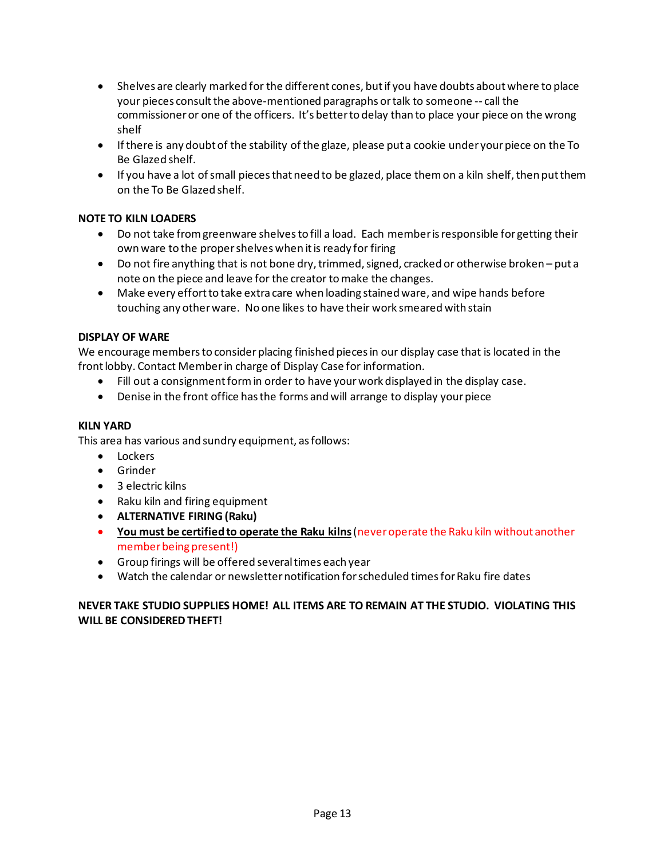- Shelves are clearly marked for the different cones, butif you have doubts aboutwhere to place your pieces consult the above-mentioned paragraphs or talk to someone -- call the commissioneror one of the officers. It's betterto delay than to place your piece on the wrong shelf
- If there is any doubt of the stability of the glaze, please put a cookie under your piece on the To Be Glazed shelf.
- If you have a lot of small pieces that need to be glazed, place them on a kiln shelf, then put them on the To Be Glazed shelf.

#### **NOTE TO KILN LOADERS**

- Do not take from greenware shelves to fill a load. Each member is responsible for getting their own ware to the proper shelves when it is ready for firing
- Do not fire anything that is not bone dry, trimmed, signed, cracked or otherwise broken put a note on the piece and leave for the creator tomake the changes.
- Make every effort to take extra care when loading stained ware, and wipe hands before touching any otherware. No one likes to have their work smeared with stain

#### **DISPLAY OF WARE**

We encourage members to consider placing finished pieces in our display case that is located in the front lobby. Contact Member in charge of Display Case for information.

- Fill out a consignmentformin order to have yourwork displayed in the display case.
- Denise in the front office has the forms and will arrange to display your piece

#### **KILN YARD**

This area has various and sundry equipment, asfollows:

- Lockers
- Grinder
- 3 electric kilns
- Raku kiln and firing equipment
- **ALTERNATIVE FIRING(Raku)**
- **You must be certifiedto operate the Raku kilns**(neveroperate the Raku kiln without another member being present!)
- Group firings will be offered severaltimes each year
- Watch the calendar or newsletter notification for scheduled times for Raku fire dates

#### **NEVER TAKE STUDIO SUPPLIES HOME! ALL ITEMS ARE TO REMAIN AT THE STUDIO. VIOLATING THIS WILL BE CONSIDERED THEFT!**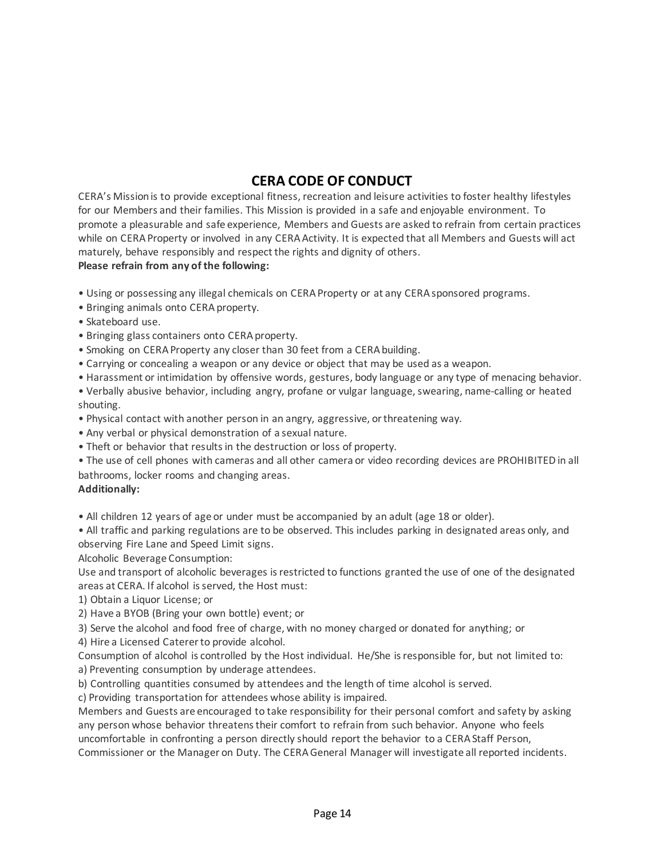# **CERA CODE OF CONDUCT**

CERA's Missionis to provide exceptional fitness, recreation and leisure activities to foster healthy lifestyles for our Members and their families. This Mission is provided in a safe and enjoyable environment. To promote a pleasurable and safe experience, Members and Guests are asked to refrain from certain practices while on CERA Property or involved in any CERA Activity. It is expected that all Members and Guests will act maturely, behave responsibly and respect the rights and dignity of others.

## **Please refrain from any of the following:**

- Using or possessing any illegal chemicals on CERAProperty or at any CERAsponsored programs.
- Bringing animals onto CERA property.
- Skateboard use.
- Bringing glass containers onto CERAproperty.
- Smoking on CERA Property any closer than 30 feet from a CERA building.
- Carrying or concealing a weapon or any device or object that may be used as a weapon.
- Harassment or intimidation by offensive words, gestures, body language or any type of menacing behavior.
- Verbally abusive behavior, including angry, profane or vulgar language, swearing, name-calling or heated shouting.
- Physical contact with another person in an angry, aggressive, orthreatening way.
- Any verbal or physical demonstration of a sexual nature.
- Theft or behavior that resultsin the destruction or loss of property.
- The use of cell phones with cameras and all other camera or video recording devices are PROHIBITED in all bathrooms, locker rooms and changing areas.

#### **Additionally:**

• All children 12 years of age or under must be accompanied by an adult (age 18 or older).

• All traffic and parking regulations are to be observed. This includes parking in designated areas only, and observing Fire Lane and Speed Limit signs.

Alcoholic Beverage Consumption:

Use and transport of alcoholic beverages isrestricted to functions granted the use of one of the designated areas at CERA. If alcohol is served, the Host must:

- 1) Obtain a Liquor License; or
- 2) Have a BYOB (Bring your own bottle) event; or
- 3) Serve the alcohol and food free of charge, with no money charged or donated for anything; or

4) Hire a Licensed Catererto provide alcohol.

Consumption of alcohol is controlled by the Host individual. He/She isresponsible for, but not limited to: a) Preventing consumption by underage attendees.

b) Controlling quantities consumed by attendees and the length of time alcohol is served.

c) Providing transportation for attendees whose ability is impaired.

Members and Guests are encouraged to take responsibility for their personal comfort and safety by asking any person whose behavior threatens their comfort to refrain from such behavior. Anyone who feels uncomfortable in confronting a person directly should report the behavior to a CERAStaff Person, Commissioner or the Manager on Duty. The CERAGeneral Manager will investigate all reported incidents.